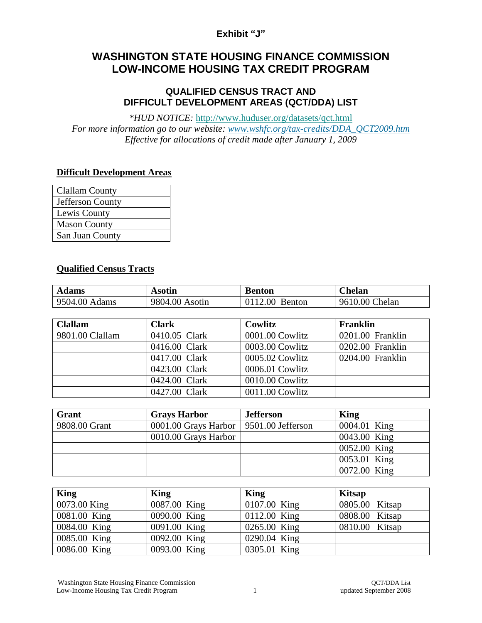## **Exhibit "J"**

# **WASHINGTON STATE HOUSING FINANCE COMMISSION LOW-INCOME HOUSING TAX CREDIT PROGRAM**

#### **QUALIFIED CENSUS TRACT AND DIFFICULT DEVELOPMENT AREAS (QCT/DDA) LIST**

*\*HUD NOTICE:* <http://www.huduser.org/datasets/qct.html> *For more information go to our website: [www.wshfc.org/tax-credits/DDA\\_QCT2009.htm](http://www.wshfc.org/tax-credits/DDA_QCT2009.htm) Effective for allocations of credit made after January 1, 2009*

### **Difficult Development Areas**

| <b>Clallam County</b> |
|-----------------------|
| Jefferson County      |
| Lewis County          |
| <b>Mason County</b>   |
| San Juan County       |

#### **Qualified Census Tracts**

| <b>Adams</b>  | Asotin         | Benton            | $C$ helan      |
|---------------|----------------|-------------------|----------------|
| 9504.00 Adams | 9804.00 Asotin | 0112.00<br>Benton | 9610.00 Chelan |

| <b>Clallam</b>  | <b>Clark</b>  | Cowlitz         | <b>Franklin</b>  |
|-----------------|---------------|-----------------|------------------|
| 9801.00 Clallam | 0410.05 Clark | 0001.00 Cowlitz | 0201.00 Franklin |
|                 | 0416.00 Clark | 0003.00 Cowlitz | 0202.00 Franklin |
|                 | 0417.00 Clark | 0005.02 Cowlitz | 0204.00 Franklin |
|                 | 0423.00 Clark | 0006.01 Cowlitz |                  |
|                 | 0424.00 Clark | 0010.00 Cowlitz |                  |
|                 | 0427.00 Clark | 0011.00 Cowlitz |                  |

| Grant         | <b>Grays Harbor</b>                      | <b>Jefferson</b> | King         |
|---------------|------------------------------------------|------------------|--------------|
| 9808.00 Grant | 0001.00 Grays Harbor   9501.00 Jefferson |                  | 0004.01 King |
|               | 0010.00 Grays Harbor                     |                  | 0043.00 King |
|               |                                          |                  | 0052.00 King |
|               |                                          |                  | 0053.01 King |
|               |                                          |                  | 0072.00 King |

| <b>King</b>  | King         | King         | <b>Kitsap</b>  |
|--------------|--------------|--------------|----------------|
| 0073.00 King | 0087.00 King | 0107.00 King | 0805.00 Kitsap |
| 0081.00 King | 0090.00 King | 0112.00 King | 0808.00 Kitsap |
| 0084.00 King | 0091.00 King | 0265.00 King | 0810.00 Kitsap |
| 0085.00 King | 0092.00 King | 0290.04 King |                |
| 0086.00 King | 0093.00 King | 0305.01 King |                |